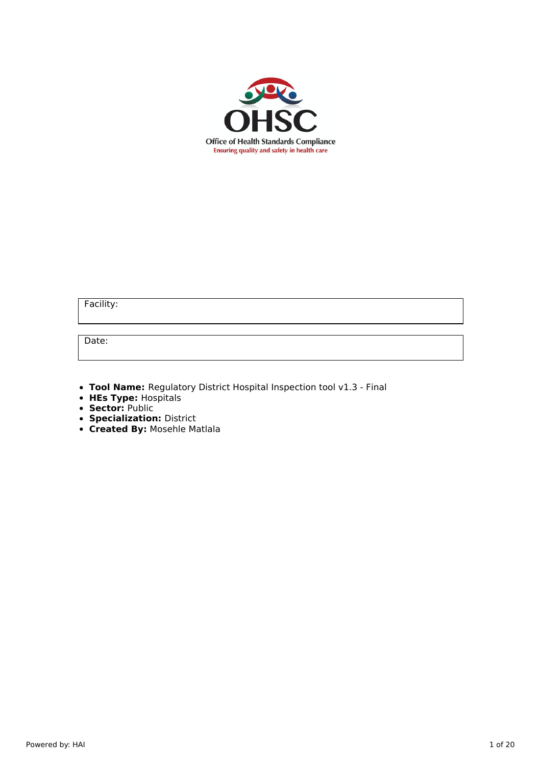

Facility:

Date:

**Tool Name:** Regulatory District Hospital Inspection tool v1.3 - Final

- **HEs Type:** Hospitals
- **Sector:** Public
- **Specialization:** District
- **Created By:** Mosehle Matlala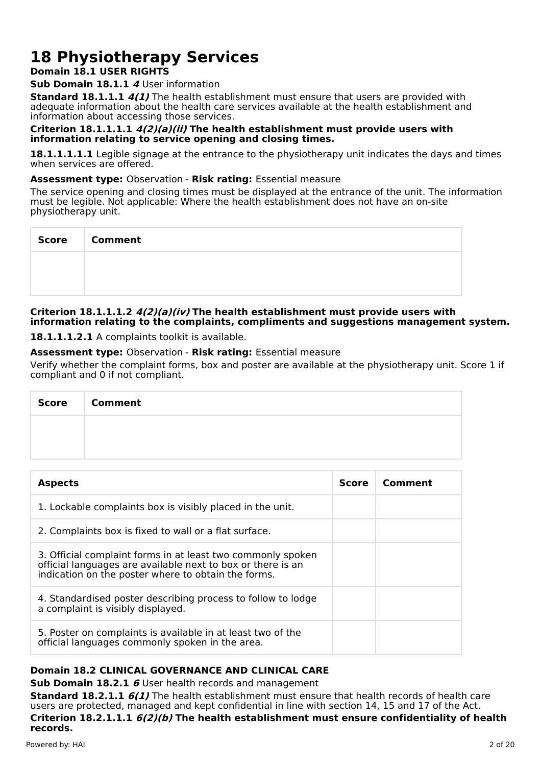# **18 Physiotherapy Services**

# **Domain 18.1 USER RIGHTS**

# **Sub Domain 18.1.1 4** User information

**Standard 18.1.1.1 4(1)** The health establishment must ensure that users are provided with adequate information about the health care services available at the health establishment and information about accessing those services.

# **Criterion 18.1.1.1.1 4(2)(a)(ii) The health establishment must provide users with information relating to service opening and closing times.**

**18.1.1.1.1.1** Legible signage at the entrance to the physiotherapy unit indicates the days and times when services are offered.

# **Assessment type:** Observation - **Risk rating:** Essential measure

The service opening and closing times must be displayed at the entrance of the unit. The information must be legible. Not applicable: Where the health establishment does not have an on-site physiotherapy unit.

| Score   Comment |
|-----------------|
|                 |
|                 |

# **Criterion 18.1.1.1.2 4(2)(a)(iv) The health establishment must provide users with information relating to the complaints, compliments and suggestions management system.**

18.1.1.1.2.1 A complaints toolkit is available.

# **Assessment type:** Observation - **Risk rating:** Essential measure

Verify whether the complaint forms, box and poster are available at the physiotherapy unit. Score 1 if compliant and 0 if not compliant.

| <b>Score</b> | <b>Comment</b> |
|--------------|----------------|
|              |                |
|              |                |

| <b>Aspects</b>                                                                                                                                                                    | Score | Comment |
|-----------------------------------------------------------------------------------------------------------------------------------------------------------------------------------|-------|---------|
| 1. Lockable complaints box is visibly placed in the unit.                                                                                                                         |       |         |
| 2. Complaints box is fixed to wall or a flat surface.                                                                                                                             |       |         |
| 3. Official complaint forms in at least two commonly spoken<br>official languages are available next to box or there is an<br>indication on the poster where to obtain the forms. |       |         |
| 4. Standardised poster describing process to follow to lodge<br>a complaint is visibly displayed.                                                                                 |       |         |
| 5. Poster on complaints is available in at least two of the<br>official languages commonly spoken in the area.                                                                    |       |         |

# **Domain 18.2 CLINICAL GOVERNANCE AND CLINICAL CARE**

**Sub Domain 18.2.1 6** User health records and management

**Standard 18.2.1.1 6(1)** The health establishment must ensure that health records of health care users are protected, managed and kept confidential in line with section 14, 15 and 17 of the Act.

**Criterion 18.2.1.1.1 6(2)(b) The health establishment must ensure confidentiality of health records.**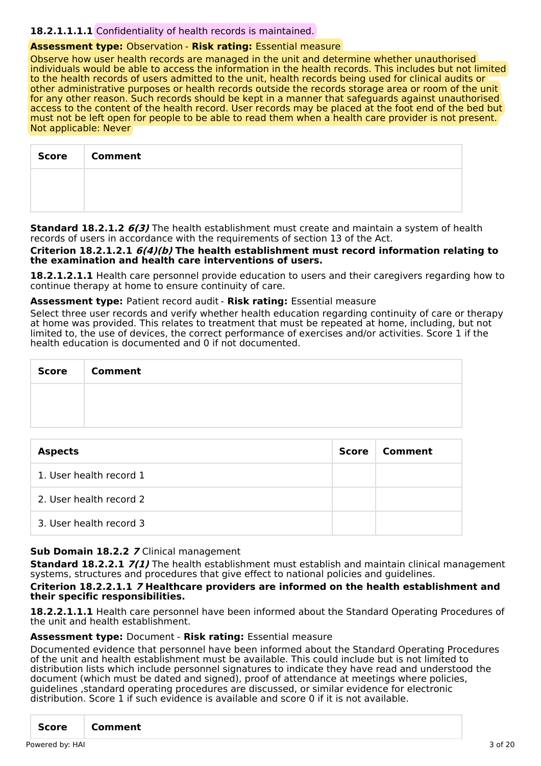# **18.2.1.1.1.1** Confidentiality of health records is maintained.

## **Assessment type:** Observation - **Risk rating:** Essential measure

Observe how user health records are managed in the unit and determine whether unauthorised individuals would be able to access the information in the health records. This includes but not limited to the health records of users admitted to the unit, health records being used for clinical audits or other administrative purposes or health records outside the records storage area or room of the unit for any other reason. Such records should be kept in a manner that safeguards against unauthorised access to the content of the health record. User records may be placed at the foot end of the bed but must not be left open for people to be able to read them when a health care provider is not present. Not applicable: Never

| <b>Score</b> | <b>Comment</b> |
|--------------|----------------|
|              |                |
|              |                |

**Standard 18.2.1.2 6(3)** The health establishment must create and maintain a system of health records of users in accordance with the requirements of section 13 of the Act.

**Criterion 18.2.1.2.1 6(4)(b) The health establishment must record information relating to the examination and health care interventions of users.**

**18.2.1.2.1.1** Health care personnel provide education to users and their caregivers regarding how to continue therapy at home to ensure continuity of care.

**Assessment type:** Patient record audit - **Risk rating:** Essential measure

Select three user records and verify whether health education regarding continuity of care or therapy at home was provided. This relates to treatment that must be repeated at home, including, but not limited to, the use of devices, the correct performance of exercises and/or activities. Score 1 if the health education is documented and 0 if not documented.

| <b>Score</b> | <b>Comment</b> |
|--------------|----------------|
|              |                |
|              |                |

| <b>Aspects</b>          | Score | Comment |
|-------------------------|-------|---------|
| 1. User health record 1 |       |         |
| 2. User health record 2 |       |         |
| 3. User health record 3 |       |         |

#### **Sub Domain 18.2.2 7** Clinical management

**Standard 18.2.2.1 7(1)** The health establishment must establish and maintain clinical management systems, structures and procedures that give effect to national policies and guidelines.

#### **Criterion 18.2.2.1.1 7 Healthcare providers are informed on the health establishment and their specific responsibilities.**

**18.2.2.1.1.1** Health care personnel have been informed about the Standard Operating Procedures of the unit and health establishment.

#### **Assessment type:** Document - **Risk rating:** Essential measure

Documented evidence that personnel have been informed about the Standard Operating Procedures of the unit and health establishment must be available. This could include but is not limited to distribution lists which include personnel signatures to indicate they have read and understood the document (which must be dated and signed), proof of attendance at meetings where policies, guidelines ,standard operating procedures are discussed, or similar evidence for electronic distribution. Score 1 if such evidence is available and score 0 if it is not available.

|  |  | Score Comment |  |  |  |  |
|--|--|---------------|--|--|--|--|
|--|--|---------------|--|--|--|--|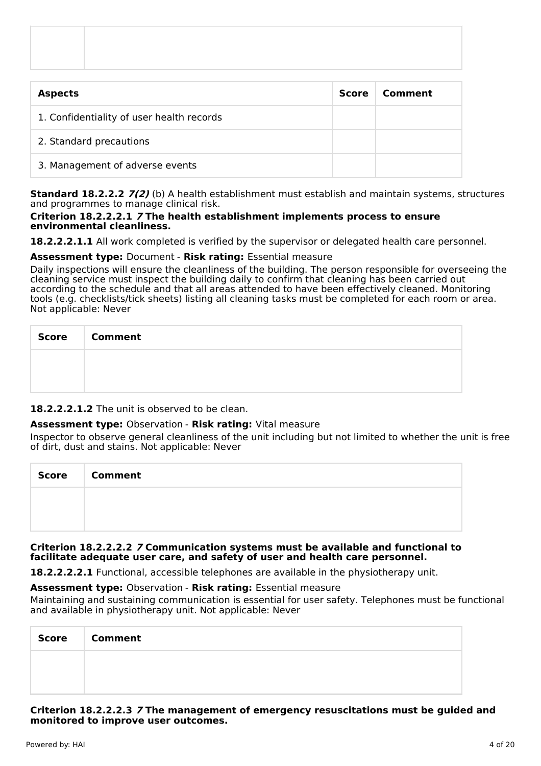| <b>Aspects</b>                            | <b>Score</b> | Comment |
|-------------------------------------------|--------------|---------|
| 1. Confidentiality of user health records |              |         |
| 2. Standard precautions                   |              |         |
| 3. Management of adverse events           |              |         |

**Standard 18.2.2.2 7(2)** (b) A health establishment must establish and maintain systems, structures and programmes to manage clinical risk.

# **Criterion 18.2.2.2.1 7 The health establishment implements process to ensure environmental cleanliness.**

**18.2.2.2.1.1** All work completed is verified by the supervisor or delegated health care personnel.

# **Assessment type:** Document - **Risk rating:** Essential measure

Daily inspections will ensure the cleanliness of the building. The person responsible for overseeing the cleaning service must inspect the building daily to confirm that cleaning has been carried out according to the schedule and that all areas attended to have been effectively cleaned. Monitoring tools (e.g. checklists/tick sheets) listing all cleaning tasks must be completed for each room or area. Not applicable: Never

| Score | <b>Comment</b> |
|-------|----------------|
|       |                |
|       |                |

**18.2.2.2.1.2** The unit is observed to be clean.

# **Assessment type:** Observation - **Risk rating:** Vital measure

Inspector to observe general cleanliness of the unit including but not limited to whether the unit is free of dirt, dust and stains. Not applicable: Never

| <b>Score</b> | <b>Comment</b> |
|--------------|----------------|
|              |                |
|              |                |

#### **Criterion 18.2.2.2.2 7 Communication systems must be available and functional to facilitate adequate user care, and safety of user and health care personnel.**

**18.2.2.2.2.1** Functional, accessible telephones are available in the physiotherapy unit.

**Assessment type:** Observation - **Risk rating:** Essential measure

Maintaining and sustaining communication is essential for user safety. Telephones must be functional and available in physiotherapy unit. Not applicable: Never

| <b>Score</b> | <b>Comment</b> |
|--------------|----------------|
|              |                |
|              |                |

#### **Criterion 18.2.2.2.3 7 The management of emergency resuscitations must be guided and monitored to improve user outcomes.**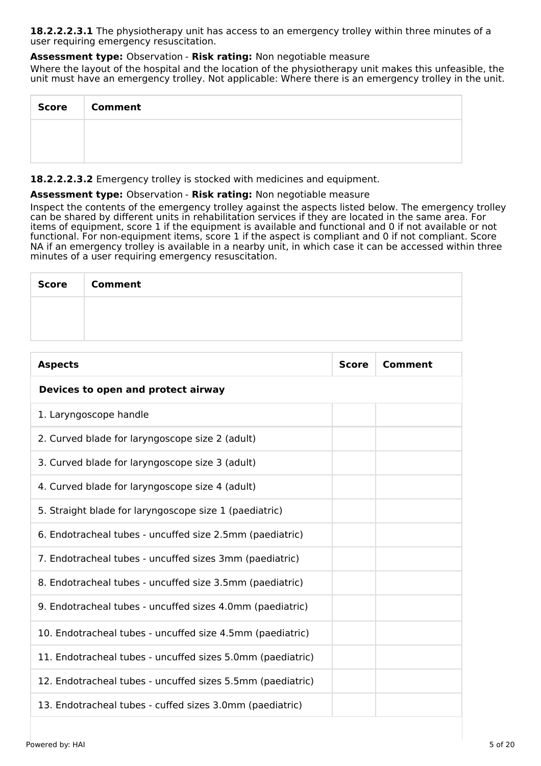**18.2.2.2.3.1** The physiotherapy unit has access to an emergency trolley within three minutes of a user requiring emergency resuscitation.

# **Assessment type:** Observation - **Risk rating:** Non negotiable measure

Where the layout of the hospital and the location of the physiotherapy unit makes this unfeasible, the unit must have an emergency trolley. Not applicable: Where there is an emergency trolley in the unit.

| <b>Score</b> | <b>Comment</b> |
|--------------|----------------|
|              |                |
|              |                |

**18.2.2.2.3.2** Emergency trolley is stocked with medicines and equipment.

## **Assessment type:** Observation - **Risk rating:** Non negotiable measure

Inspect the contents of the emergency trolley against the aspects listed below. The emergency trolley can be shared by different units in rehabilitation services if they are located in the same area. For items of equipment, score 1 if the equipment is available and functional and 0 if not available or not functional. For non-equipment items, score 1 if the aspect is compliant and 0 if not compliant. Score NA if an emergency trolley is available in a nearby unit, in which case it can be accessed within three minutes of a user requiring emergency resuscitation.

| <b>Score</b> | <b>Comment</b> |
|--------------|----------------|
|              |                |
|              |                |

| <b>Aspects</b>                                             | <b>Score</b> | Comment |
|------------------------------------------------------------|--------------|---------|
| Devices to open and protect airway                         |              |         |
| 1. Laryngoscope handle                                     |              |         |
| 2. Curved blade for laryngoscope size 2 (adult)            |              |         |
| 3. Curved blade for laryngoscope size 3 (adult)            |              |         |
| 4. Curved blade for laryngoscope size 4 (adult)            |              |         |
| 5. Straight blade for laryngoscope size 1 (paediatric)     |              |         |
| 6. Endotracheal tubes - uncuffed size 2.5mm (paediatric)   |              |         |
| 7. Endotracheal tubes - uncuffed sizes 3mm (paediatric)    |              |         |
| 8. Endotracheal tubes - uncuffed size 3.5mm (paediatric)   |              |         |
| 9. Endotracheal tubes - uncuffed sizes 4.0mm (paediatric)  |              |         |
| 10. Endotracheal tubes - uncuffed size 4.5mm (paediatric)  |              |         |
| 11. Endotracheal tubes - uncuffed sizes 5.0mm (paediatric) |              |         |
| 12. Endotracheal tubes - uncuffed sizes 5.5mm (paediatric) |              |         |
| 13. Endotracheal tubes - cuffed sizes 3.0mm (paediatric)   |              |         |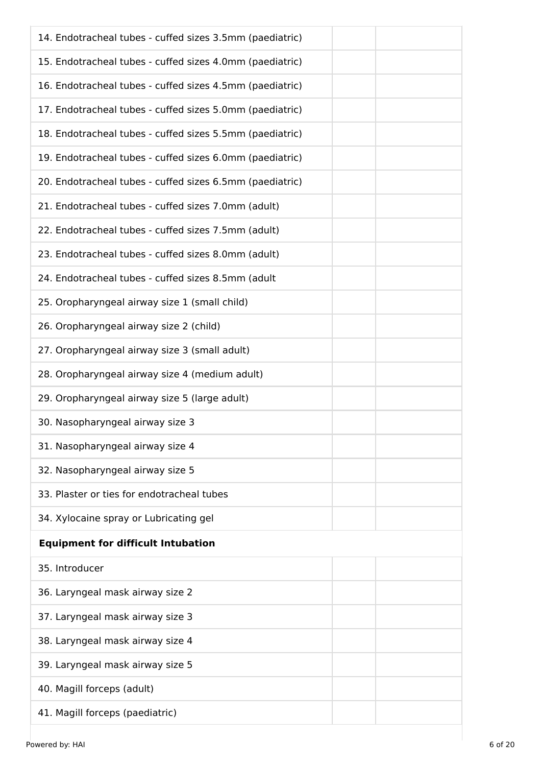| 14. Endotracheal tubes - cuffed sizes 3.5mm (paediatric) |
|----------------------------------------------------------|
| 15. Endotracheal tubes - cuffed sizes 4.0mm (paediatric) |
| 16. Endotracheal tubes - cuffed sizes 4.5mm (paediatric) |
| 17. Endotracheal tubes - cuffed sizes 5.0mm (paediatric) |
| 18. Endotracheal tubes - cuffed sizes 5.5mm (paediatric) |
| 19. Endotracheal tubes - cuffed sizes 6.0mm (paediatric) |
| 20. Endotracheal tubes - cuffed sizes 6.5mm (paediatric) |
| 21. Endotracheal tubes - cuffed sizes 7.0mm (adult)      |
| 22. Endotracheal tubes - cuffed sizes 7.5mm (adult)      |
| 23. Endotracheal tubes - cuffed sizes 8.0mm (adult)      |
| 24. Endotracheal tubes - cuffed sizes 8.5mm (adult       |
| 25. Oropharyngeal airway size 1 (small child)            |
| 26. Oropharyngeal airway size 2 (child)                  |
| 27. Oropharyngeal airway size 3 (small adult)            |
| 28. Oropharyngeal airway size 4 (medium adult)           |
| 29. Oropharyngeal airway size 5 (large adult)            |
| 30. Nasopharyngeal airway size 3                         |
| 31. Nasopharyngeal airway size 4                         |
| 32. Nasopharyngeal airway size 5                         |
| 33. Plaster or ties for endotracheal tubes               |
| 34. Xylocaine spray or Lubricating gel                   |
| <b>Equipment for difficult Intubation</b>                |
| 35. Introducer                                           |
| 36. Laryngeal mask airway size 2                         |
| 37. Laryngeal mask airway size 3                         |
| 38. Laryngeal mask airway size 4                         |
| 39. Laryngeal mask airway size 5                         |
| 40. Magill forceps (adult)                               |
| 41. Magill forceps (paediatric)                          |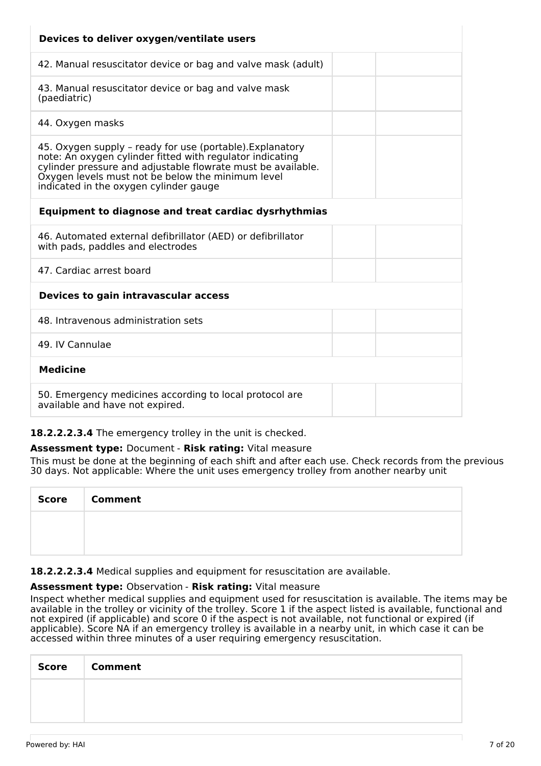| Devices to deliver oxygen/ventilate users                                                                                                                                                                                                                                             |  |  |  |
|---------------------------------------------------------------------------------------------------------------------------------------------------------------------------------------------------------------------------------------------------------------------------------------|--|--|--|
| 42. Manual resuscitator device or bag and valve mask (adult)                                                                                                                                                                                                                          |  |  |  |
| 43. Manual resuscitator device or bag and valve mask<br>(paediatric)                                                                                                                                                                                                                  |  |  |  |
| 44. Oxygen masks                                                                                                                                                                                                                                                                      |  |  |  |
| 45. Oxygen supply - ready for use (portable). Explanatory<br>note: An oxygen cylinder fitted with regulator indicating<br>cylinder pressure and adjustable flowrate must be available.<br>Oxygen levels must not be below the minimum level<br>indicated in the oxygen cylinder gauge |  |  |  |
| <b>Equipment to diagnose and treat cardiac dysrhythmias</b>                                                                                                                                                                                                                           |  |  |  |
| 46. Automated external defibrillator (AED) or defibrillator<br>with pads, paddles and electrodes                                                                                                                                                                                      |  |  |  |
| 47. Cardiac arrest board                                                                                                                                                                                                                                                              |  |  |  |
| Devices to gain intravascular access                                                                                                                                                                                                                                                  |  |  |  |
| 48. Intravenous administration sets                                                                                                                                                                                                                                                   |  |  |  |
| 49. IV Cannulae                                                                                                                                                                                                                                                                       |  |  |  |
| <b>Medicine</b>                                                                                                                                                                                                                                                                       |  |  |  |
| 50. Emergency medicines according to local protocol are<br>available and have not expired.                                                                                                                                                                                            |  |  |  |

# **18.2.2.2.3.4** The emergency trolley in the unit is checked.

# **Assessment type:** Document - **Risk rating:** Vital measure

This must be done at the beginning of each shift and after each use. Check records from the previous 30 days. Not applicable: Where the unit uses emergency trolley from another nearby unit

| Score   Comment |
|-----------------|
|                 |
|                 |

**18.2.2.2.3.4** Medical supplies and equipment for resuscitation are available.

#### **Assessment type:** Observation - **Risk rating:** Vital measure

Inspect whether medical supplies and equipment used for resuscitation is available. The items may be available in the trolley or vicinity of the trolley. Score 1 if the aspect listed is available, functional and not expired (if applicable) and score 0 if the aspect is not available, not functional or expired (if applicable). Score NA if an emergency trolley is available in a nearby unit, in which case it can be accessed within three minutes of a user requiring emergency resuscitation.

| Score | <b>Comment</b> |
|-------|----------------|
|       |                |
|       |                |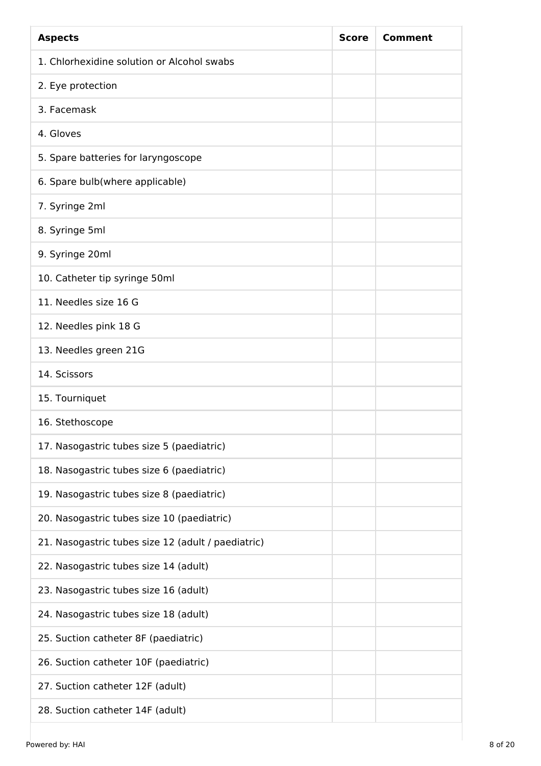| <b>Aspects</b>                                     | <b>Score</b> | Comment |
|----------------------------------------------------|--------------|---------|
| 1. Chlorhexidine solution or Alcohol swabs         |              |         |
| 2. Eye protection                                  |              |         |
| 3. Facemask                                        |              |         |
| 4. Gloves                                          |              |         |
| 5. Spare batteries for laryngoscope                |              |         |
| 6. Spare bulb(where applicable)                    |              |         |
| 7. Syringe 2ml                                     |              |         |
| 8. Syringe 5ml                                     |              |         |
| 9. Syringe 20ml                                    |              |         |
| 10. Catheter tip syringe 50ml                      |              |         |
| 11. Needles size 16 G                              |              |         |
| 12. Needles pink 18 G                              |              |         |
| 13. Needles green 21G                              |              |         |
| 14. Scissors                                       |              |         |
| 15. Tourniquet                                     |              |         |
| 16. Stethoscope                                    |              |         |
| 17. Nasogastric tubes size 5 (paediatric)          |              |         |
| 18. Nasogastric tubes size 6 (paediatric)          |              |         |
| 19. Nasogastric tubes size 8 (paediatric)          |              |         |
| 20. Nasogastric tubes size 10 (paediatric)         |              |         |
| 21. Nasogastric tubes size 12 (adult / paediatric) |              |         |
| 22. Nasogastric tubes size 14 (adult)              |              |         |
| 23. Nasogastric tubes size 16 (adult)              |              |         |
| 24. Nasogastric tubes size 18 (adult)              |              |         |
| 25. Suction catheter 8F (paediatric)               |              |         |
| 26. Suction catheter 10F (paediatric)              |              |         |
| 27. Suction catheter 12F (adult)                   |              |         |
| 28. Suction catheter 14F (adult)                   |              |         |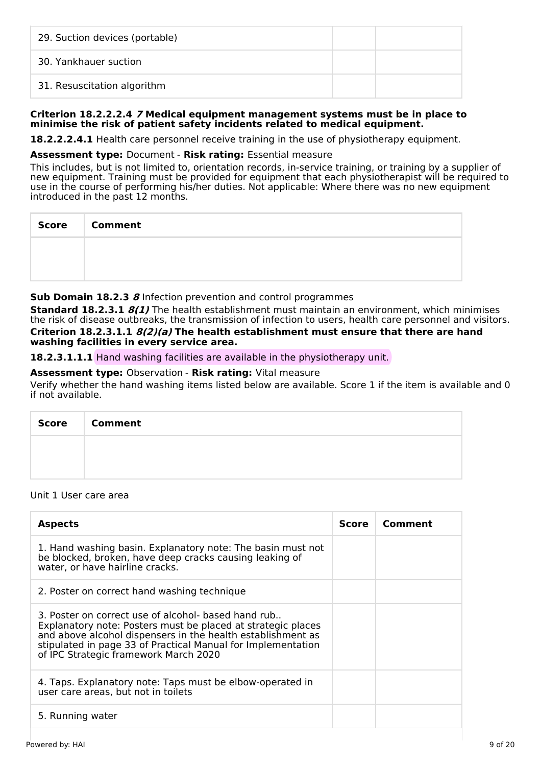| 29. Suction devices (portable) |  |
|--------------------------------|--|
| 30. Yankhauer suction          |  |
| 31. Resuscitation algorithm    |  |

#### **Criterion 18.2.2.2.4 7 Medical equipment management systems must be in place to minimise the risk of patient safety incidents related to medical equipment.**

**18.2.2.2.4.1** Health care personnel receive training in the use of physiotherapy equipment.

#### **Assessment type:** Document - **Risk rating:** Essential measure

This includes, but is not limited to, orientation records, in-service training, or training by a supplier of new equipment. Training must be provided for equipment that each physiotherapist will be required to use in the course of performing his/her duties. Not applicable: Where there was no new equipment introduced in the past 12 months.

| Score   Comment |
|-----------------|
|                 |
|                 |

#### **Sub Domain 18.2.3 8** Infection prevention and control programmes

**Standard 18.2.3.1 8(1)** The health establishment must maintain an environment, which minimises the risk of disease outbreaks, the transmission of infection to users, health care personnel and visitors.

#### **Criterion 18.2.3.1.1 8(2)(a) The health establishment must ensure that there are hand washing facilities in every service area.**

**18.2.3.1.1.1** Hand washing facilities are available in the physiotherapy unit.

#### **Assessment type:** Observation - **Risk rating:** Vital measure

Verify whether the hand washing items listed below are available. Score 1 if the item is available and 0 if not available.

| Score   Comment |
|-----------------|
|                 |
|                 |

#### Unit 1 User care area

| <b>Aspects</b>                                                                                                                                                                                                                                                                              | <b>Score</b> | Comment |
|---------------------------------------------------------------------------------------------------------------------------------------------------------------------------------------------------------------------------------------------------------------------------------------------|--------------|---------|
| 1. Hand washing basin. Explanatory note: The basin must not<br>be blocked, broken, have deep cracks causing leaking of<br>water, or have hairline cracks.                                                                                                                                   |              |         |
| 2. Poster on correct hand washing technique                                                                                                                                                                                                                                                 |              |         |
| 3. Poster on correct use of alcohol- based hand rub<br>Explanatory note: Posters must be placed at strategic places<br>and above alcohol dispensers in the health establishment as<br>stipulated in page 33 of Practical Manual for Implementation<br>of IPC Strategic framework March 2020 |              |         |
| 4. Taps. Explanatory note: Taps must be elbow-operated in<br>user care areas, but not in toilets                                                                                                                                                                                            |              |         |
| 5. Running water                                                                                                                                                                                                                                                                            |              |         |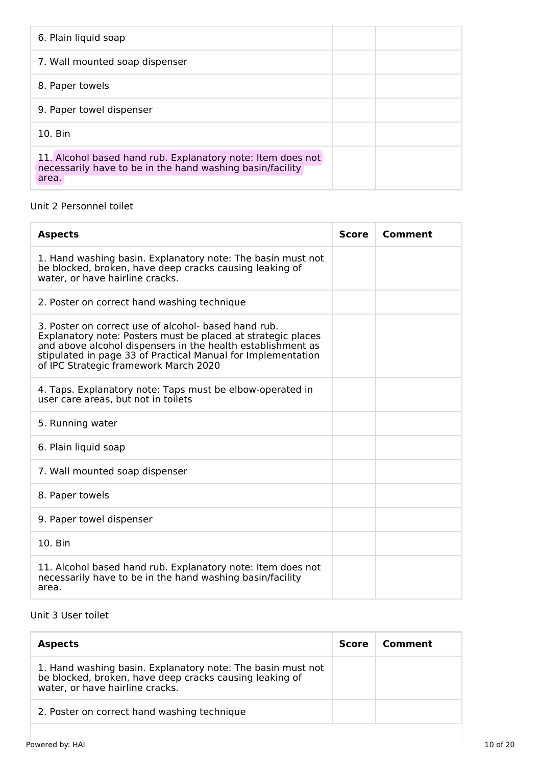| 6. Plain liquid soap                                                                                                              |  |
|-----------------------------------------------------------------------------------------------------------------------------------|--|
| 7. Wall mounted soap dispenser                                                                                                    |  |
| 8. Paper towels                                                                                                                   |  |
| 9. Paper towel dispenser                                                                                                          |  |
| 10. Bin                                                                                                                           |  |
| 11. Alcohol based hand rub. Explanatory note: Item does not<br>necessarily have to be in the hand washing basin/facility<br>area. |  |

# Unit 2 Personnel toilet

| <b>Aspects</b>                                                                                                                                                                                                                                                                               | <b>Score</b> | Comment |
|----------------------------------------------------------------------------------------------------------------------------------------------------------------------------------------------------------------------------------------------------------------------------------------------|--------------|---------|
| 1. Hand washing basin. Explanatory note: The basin must not<br>be blocked, broken, have deep cracks causing leaking of<br>water, or have hairline cracks.                                                                                                                                    |              |         |
| 2. Poster on correct hand washing technique                                                                                                                                                                                                                                                  |              |         |
| 3. Poster on correct use of alcohol- based hand rub.<br>Explanatory note: Posters must be placed at strategic places<br>and above alcohol dispensers in the health establishment as<br>stipulated in page 33 of Practical Manual for Implementation<br>of IPC Strategic framework March 2020 |              |         |
| 4. Taps. Explanatory note: Taps must be elbow-operated in<br>user care areas, but not in toilets                                                                                                                                                                                             |              |         |
| 5. Running water                                                                                                                                                                                                                                                                             |              |         |
| 6. Plain liquid soap                                                                                                                                                                                                                                                                         |              |         |
| 7. Wall mounted soap dispenser                                                                                                                                                                                                                                                               |              |         |
| 8. Paper towels                                                                                                                                                                                                                                                                              |              |         |
| 9. Paper towel dispenser                                                                                                                                                                                                                                                                     |              |         |
| 10. Bin                                                                                                                                                                                                                                                                                      |              |         |
| 11. Alcohol based hand rub. Explanatory note: Item does not<br>necessarily have to be in the hand washing basin/facility<br>area.                                                                                                                                                            |              |         |

# Unit 3 User toilet

| <b>Aspects</b>                                                                                                                                            | <b>Score</b> | Comment |
|-----------------------------------------------------------------------------------------------------------------------------------------------------------|--------------|---------|
| 1. Hand washing basin. Explanatory note: The basin must not<br>be blocked, broken, have deep cracks causing leaking of<br>water, or have hairline cracks. |              |         |
| 2. Poster on correct hand washing technique                                                                                                               |              |         |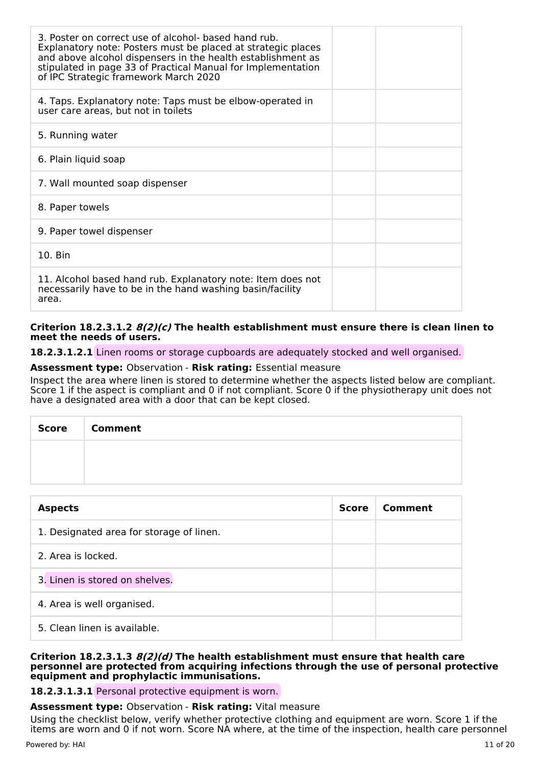| 3. Poster on correct use of alcohol- based hand rub.<br>Explanatory note: Posters must be placed at strategic places<br>and above alcohol dispensers in the health establishment as<br>stipulated in page 33 of Practical Manual for Implementation<br>of IPC Strategic framework March 2020 |  |
|----------------------------------------------------------------------------------------------------------------------------------------------------------------------------------------------------------------------------------------------------------------------------------------------|--|
| 4. Taps. Explanatory note: Taps must be elbow-operated in<br>user care areas, but not in toilets                                                                                                                                                                                             |  |
| 5. Running water                                                                                                                                                                                                                                                                             |  |
| 6. Plain liquid soap                                                                                                                                                                                                                                                                         |  |
| 7. Wall mounted soap dispenser                                                                                                                                                                                                                                                               |  |
| 8. Paper towels                                                                                                                                                                                                                                                                              |  |
| 9. Paper towel dispenser                                                                                                                                                                                                                                                                     |  |
| $10.$ Bin                                                                                                                                                                                                                                                                                    |  |
| 11. Alcohol based hand rub. Explanatory note: Item does not<br>necessarily have to be in the hand washing basin/facility<br>area.                                                                                                                                                            |  |

#### **Criterion 18.2.3.1.2 8(2)(c) The health establishment must ensure there is clean linen to meet the needs of users.**

**18.2.3.1.2.1** Linen rooms or storage cupboards are adequately stocked and well organised.

## **Assessment type:** Observation - **Risk rating:** Essential measure

Inspect the area where linen is stored to determine whether the aspects listed below are compliant. Score 1 if the aspect is compliant and 0 if not compliant. Score 0 if the physiotherapy unit does not have a designated area with a door that can be kept closed.

| Score | <b>Comment</b> |
|-------|----------------|
|       |                |
|       |                |

| <b>Aspects</b>                           | <b>Score</b> | Comment |
|------------------------------------------|--------------|---------|
| 1. Designated area for storage of linen. |              |         |
| 2. Area is locked.                       |              |         |
| 3. Linen is stored on shelves.           |              |         |
| 4. Area is well organised.               |              |         |
| 5. Clean linen is available.             |              |         |

#### **Criterion 18.2.3.1.3 8(2)(d) The health establishment must ensure that health care personnel are protected from acquiring infections through the use of personal protective equipment and prophylactic immunisations.**

**18.2.3.1.3.1** Personal protective equipment is worn.

#### **Assessment type:** Observation - **Risk rating:** Vital measure

Using the checklist below, verify whether protective clothing and equipment are worn. Score 1 if the items are worn and 0 if not worn. Score NA where, at the time of the inspection, health care personnel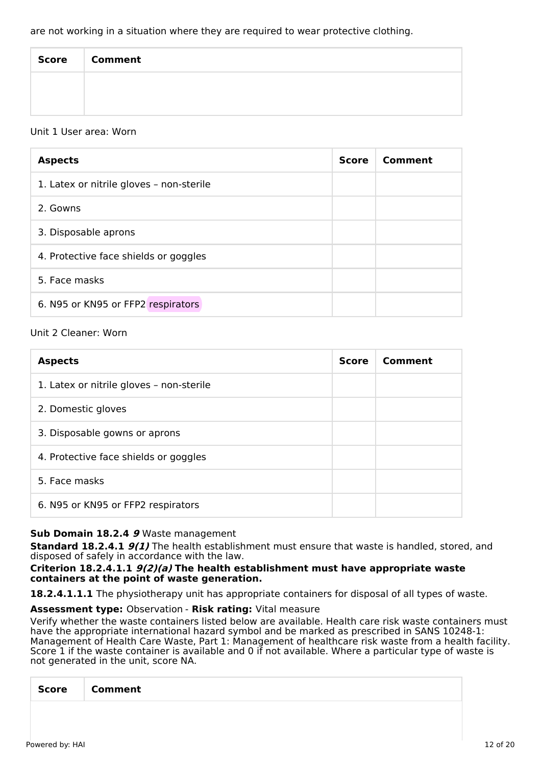| <b>Score</b> | <b>Comment</b> |
|--------------|----------------|
|              |                |
|              |                |

## Unit 1 User area: Worn

| <b>Aspects</b>                           | <b>Score</b> | Comment |
|------------------------------------------|--------------|---------|
| 1. Latex or nitrile gloves - non-sterile |              |         |
| 2. Gowns                                 |              |         |
| 3. Disposable aprons                     |              |         |
| 4. Protective face shields or goggles    |              |         |
| 5. Face masks                            |              |         |
| 6. N95 or KN95 or FFP2 respirators       |              |         |

## Unit 2 Cleaner: Worn

| <b>Aspects</b>                           | <b>Score</b> | Comment |
|------------------------------------------|--------------|---------|
| 1. Latex or nitrile gloves - non-sterile |              |         |
| 2. Domestic gloves                       |              |         |
| 3. Disposable gowns or aprons            |              |         |
| 4. Protective face shields or goggles    |              |         |
| 5. Face masks                            |              |         |
| 6. N95 or KN95 or FFP2 respirators       |              |         |

# **Sub Domain 18.2.4 9** Waste management

**Standard 18.2.4.1 9(1)** The health establishment must ensure that waste is handled, stored, and disposed of safely in accordance with the law.

## **Criterion 18.2.4.1.1 9(2)(a) The health establishment must have appropriate waste containers at the point of waste generation.**

**18.2.4.1.1.1** The physiotherapy unit has appropriate containers for disposal of all types of waste.

# **Assessment type:** Observation - **Risk rating:** Vital measure

Verify whether the waste containers listed below are available. Health care risk waste containers must have the appropriate international hazard symbol and be marked as prescribed in SANS 10248-1: Management of Health Care Waste, Part 1: Management of healthcare risk waste from a health facility. Score 1 if the waste container is available and 0 if not available. Where a particular type of waste is not generated in the unit, score NA.

| $\overline{\phantom{0}}$<br><b>Score</b><br>Comment |
|-----------------------------------------------------|
|-----------------------------------------------------|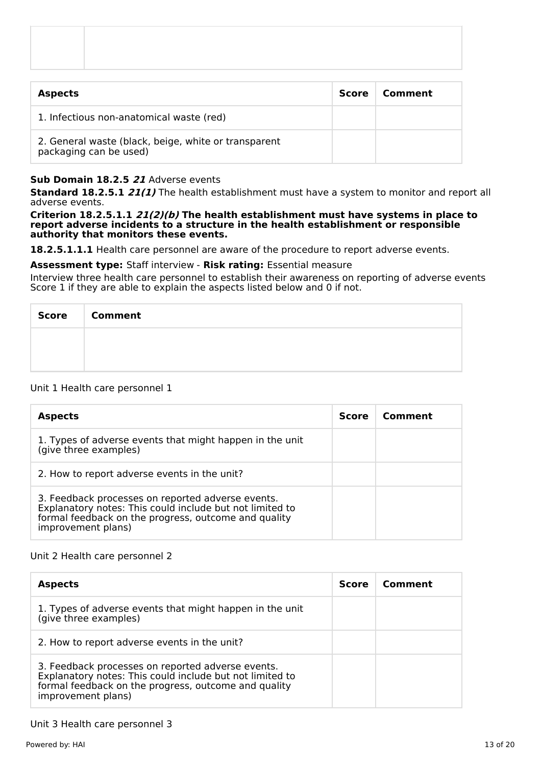| <b>Aspects</b> | Score   Comment |
|----------------|-----------------|

1. Infectious non-anatomical waste (red) 2. General waste (black, beige, white or transparent packaging can be used)

# **Sub Domain 18.2.5 21** Adverse events

**Standard 18.2.5.1 21(1)** The health establishment must have a system to monitor and report all adverse events.

#### **Criterion 18.2.5.1.1 21(2)(b) The health establishment must have systems in place to report adverse incidents to a structure in the health establishment or responsible authority that monitors these events.**

18.2.5.1.1.1 Health care personnel are aware of the procedure to report adverse events.

#### **Assessment type:** Staff interview - **Risk rating:** Essential measure

Interview three health care personnel to establish their awareness on reporting of adverse events Score 1 if they are able to explain the aspects listed below and 0 if not.

| <b>Score</b> | <b>Comment</b> |
|--------------|----------------|
|              |                |
|              |                |

#### Unit 1 Health care personnel 1

| <b>Aspects</b>                                                                                                                                                                              | Score | Comment |
|---------------------------------------------------------------------------------------------------------------------------------------------------------------------------------------------|-------|---------|
| 1. Types of adverse events that might happen in the unit<br>(give three examples)                                                                                                           |       |         |
| 2. How to report adverse events in the unit?                                                                                                                                                |       |         |
| 3. Feedback processes on reported adverse events.<br>Explanatory notes: This could include but not limited to<br>formal feedback on the progress, outcome and quality<br>improvement plans) |       |         |

#### Unit 2 Health care personnel 2

| <b>Aspects</b>                                                                                                                                                                              | <b>Score</b> | Comment |
|---------------------------------------------------------------------------------------------------------------------------------------------------------------------------------------------|--------------|---------|
| 1. Types of adverse events that might happen in the unit<br>(give three examples)                                                                                                           |              |         |
| 2. How to report adverse events in the unit?                                                                                                                                                |              |         |
| 3. Feedback processes on reported adverse events.<br>Explanatory notes: This could include but not limited to<br>formal feedback on the progress, outcome and quality<br>improvement plans) |              |         |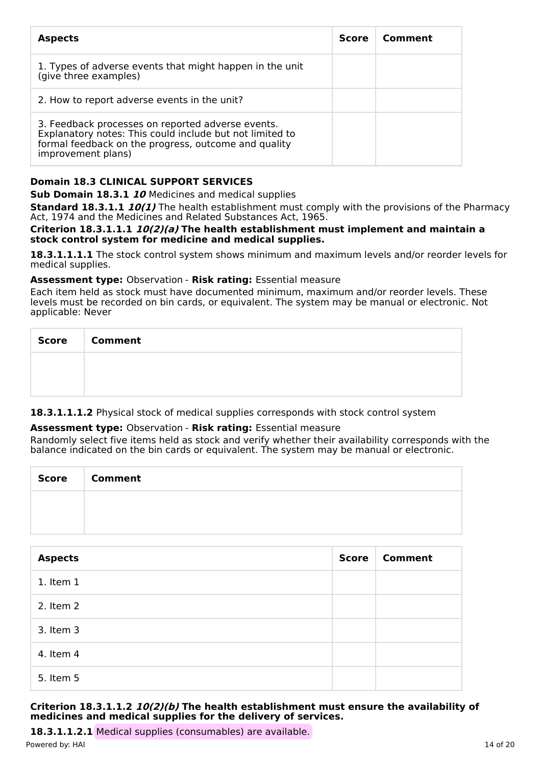| <b>Aspects</b>                                                                                                                                                                              | <b>Score</b> | Comment |
|---------------------------------------------------------------------------------------------------------------------------------------------------------------------------------------------|--------------|---------|
| 1. Types of adverse events that might happen in the unit<br>(give three examples)                                                                                                           |              |         |
| 2. How to report adverse events in the unit?                                                                                                                                                |              |         |
| 3. Feedback processes on reported adverse events.<br>Explanatory notes: This could include but not limited to<br>formal feedback on the progress, outcome and quality<br>improvement plans) |              |         |

# **Domain 18.3 CLINICAL SUPPORT SERVICES**

**Sub Domain 18.3.1 10** Medicines and medical supplies

**Standard 18.3.1.1 10(1)** The health establishment must comply with the provisions of the Pharmacy Act, 1974 and the Medicines and Related Substances Act, 1965.

#### **Criterion 18.3.1.1.1 10(2)(a) The health establishment must implement and maintain a stock control system for medicine and medical supplies.**

**18.3.1.1.1.1** The stock control system shows minimum and maximum levels and/or reorder levels for medical supplies.

## **Assessment type:** Observation - **Risk rating:** Essential measure

Each item held as stock must have documented minimum, maximum and/or reorder levels. These levels must be recorded on bin cards, or equivalent. The system may be manual or electronic. Not applicable: Never

| Score   Comment |
|-----------------|
|                 |
|                 |

# **18.3.1.1.1.2** Physical stock of medical supplies corresponds with stock control system

# **Assessment type:** Observation - **Risk rating:** Essential measure

Randomly select five items held as stock and verify whether their availability corresponds with the balance indicated on the bin cards or equivalent. The system may be manual or electronic.

| <b>Score</b> | <b>Comment</b> |
|--------------|----------------|
|              |                |
|              |                |

| <b>Aspects</b> | <b>Score</b> | Comment |
|----------------|--------------|---------|
| $1.$ Item $1$  |              |         |
| 2. Item 2      |              |         |
| 3. Item 3      |              |         |
| 4. Item 4      |              |         |
| 5. Item 5      |              |         |

## **Criterion 18.3.1.1.2 10(2)(b) The health establishment must ensure the availability of medicines and medical supplies for the delivery of services.**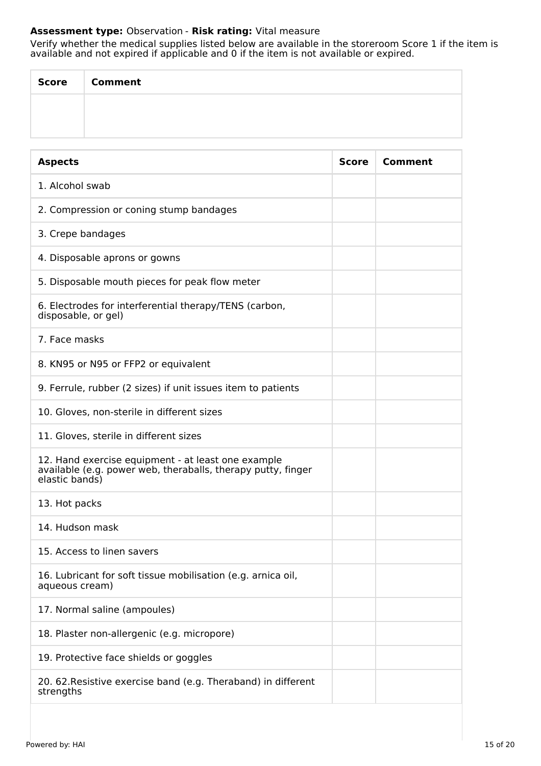# **Assessment type:** Observation - **Risk rating:** Vital measure

Verify whether the medical supplies listed below are available in the storeroom Score 1 if the item is available and not expired if applicable and 0 if the item is not available or expired.

| <b>Score</b> | <b>Comment</b> |
|--------------|----------------|
|              |                |
|              |                |

| <b>Aspects</b>                                                                                                                       | <b>Score</b> | Comment |
|--------------------------------------------------------------------------------------------------------------------------------------|--------------|---------|
| 1. Alcohol swab                                                                                                                      |              |         |
| 2. Compression or coning stump bandages                                                                                              |              |         |
| 3. Crepe bandages                                                                                                                    |              |         |
| 4. Disposable aprons or gowns                                                                                                        |              |         |
| 5. Disposable mouth pieces for peak flow meter                                                                                       |              |         |
| 6. Electrodes for interferential therapy/TENS (carbon,<br>disposable, or gel)                                                        |              |         |
| 7. Face masks                                                                                                                        |              |         |
| 8. KN95 or N95 or FFP2 or equivalent                                                                                                 |              |         |
| 9. Ferrule, rubber (2 sizes) if unit issues item to patients                                                                         |              |         |
| 10. Gloves, non-sterile in different sizes                                                                                           |              |         |
| 11. Gloves, sterile in different sizes                                                                                               |              |         |
| 12. Hand exercise equipment - at least one example<br>available (e.g. power web, theraballs, therapy putty, finger<br>elastic bands) |              |         |
| 13. Hot packs                                                                                                                        |              |         |
| 14. Hudson mask                                                                                                                      |              |         |
| 15. Access to linen savers                                                                                                           |              |         |
| 16. Lubricant for soft tissue mobilisation (e.g. arnica oil,<br>aqueous cream)                                                       |              |         |
| 17. Normal saline (ampoules)                                                                                                         |              |         |
| 18. Plaster non-allergenic (e.g. micropore)                                                                                          |              |         |
| 19. Protective face shields or goggles                                                                                               |              |         |
| 20. 62. Resistive exercise band (e.g. Theraband) in different<br>strengths                                                           |              |         |
|                                                                                                                                      |              |         |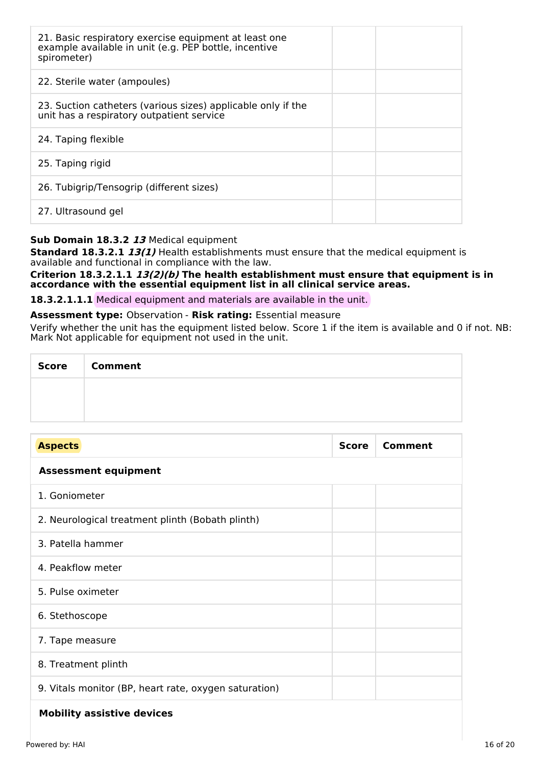| 21. Basic respiratory exercise equipment at least one<br>example available in unit (e.g. PEP bottle, incentive<br>spirometer) |  |
|-------------------------------------------------------------------------------------------------------------------------------|--|
| 22. Sterile water (ampoules)                                                                                                  |  |
| 23. Suction catheters (various sizes) applicable only if the<br>unit has a respiratory outpatient service                     |  |
| 24. Taping flexible                                                                                                           |  |
| 25. Taping rigid                                                                                                              |  |
| 26. Tubigrip/Tensogrip (different sizes)                                                                                      |  |
| 27. Ultrasound gel                                                                                                            |  |

# **Sub Domain 18.3.2 13** Medical equipment

**Standard 18.3.2.1 13(1)** Health establishments must ensure that the medical equipment is available and functional in compliance with the law.

#### **Criterion 18.3.2.1.1 13(2)(b) The health establishment must ensure that equipment is in accordance with the essential equipment list in all clinical service areas.**

**18.3.2.1.1.1** Medical equipment and materials are available in the unit.

#### **Assessment type:** Observation - **Risk rating:** Essential measure

Verify whether the unit has the equipment listed below. Score 1 if the item is available and 0 if not. NB: Mark Not applicable for equipment not used in the unit.

| Score   Comment |
|-----------------|
|                 |
|                 |

| <b>Aspects</b>                                        | <b>Score</b> | <b>Comment</b> |
|-------------------------------------------------------|--------------|----------------|
| <b>Assessment equipment</b>                           |              |                |
| 1. Goniometer                                         |              |                |
| 2. Neurological treatment plinth (Bobath plinth)      |              |                |
| 3. Patella hammer                                     |              |                |
| 4. Peakflow meter                                     |              |                |
| 5. Pulse oximeter                                     |              |                |
| 6. Stethoscope                                        |              |                |
| 7. Tape measure                                       |              |                |
| 8. Treatment plinth                                   |              |                |
| 9. Vitals monitor (BP, heart rate, oxygen saturation) |              |                |
| Mebilitus peeletiuse deulepe                          |              |                |

# **Mobility assistive devices**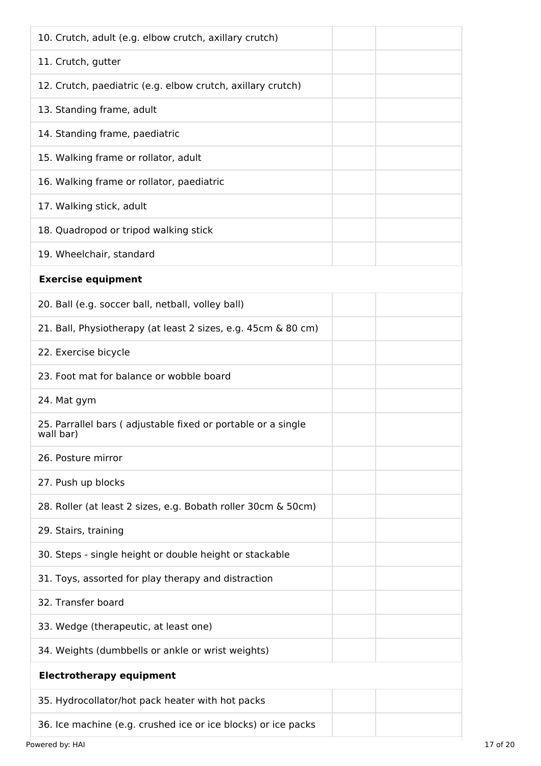| 10. Crutch, adult (e.g. elbow crutch, axillary crutch)                    |  |
|---------------------------------------------------------------------------|--|
| 11. Crutch, gutter                                                        |  |
| 12. Crutch, paediatric (e.g. elbow crutch, axillary crutch)               |  |
| 13. Standing frame, adult                                                 |  |
| 14. Standing frame, paediatric                                            |  |
| 15. Walking frame or rollator, adult                                      |  |
| 16. Walking frame or rollator, paediatric                                 |  |
| 17. Walking stick, adult                                                  |  |
| 18. Quadropod or tripod walking stick                                     |  |
| 19. Wheelchair, standard                                                  |  |
| <b>Exercise equipment</b>                                                 |  |
| 20. Ball (e.g. soccer ball, netball, volley ball)                         |  |
| 21. Ball, Physiotherapy (at least 2 sizes, e.g. 45cm & 80 cm)             |  |
| 22. Exercise bicycle                                                      |  |
| 23. Foot mat for balance or wobble board                                  |  |
| 24. Mat gym                                                               |  |
| 25. Parrallel bars (adjustable fixed or portable or a single<br>wall bar) |  |
| 26. Posture mirror                                                        |  |
| 27. Push up blocks                                                        |  |
| 28. Roller (at least 2 sizes, e.g. Bobath roller 30cm & 50cm)             |  |
| 29. Stairs, training                                                      |  |
| 30. Steps - single height or double height or stackable                   |  |
| 31. Toys, assorted for play therapy and distraction                       |  |
| 32. Transfer board                                                        |  |
| 33. Wedge (therapeutic, at least one)                                     |  |
| 34. Weights (dumbbells or ankle or wrist weights)                         |  |
| <b>Electrotherapy equipment</b>                                           |  |
| 35. Hydrocollator/hot pack heater with hot packs                          |  |
| 36. Ice machine (e.g. crushed ice or ice blocks) or ice packs             |  |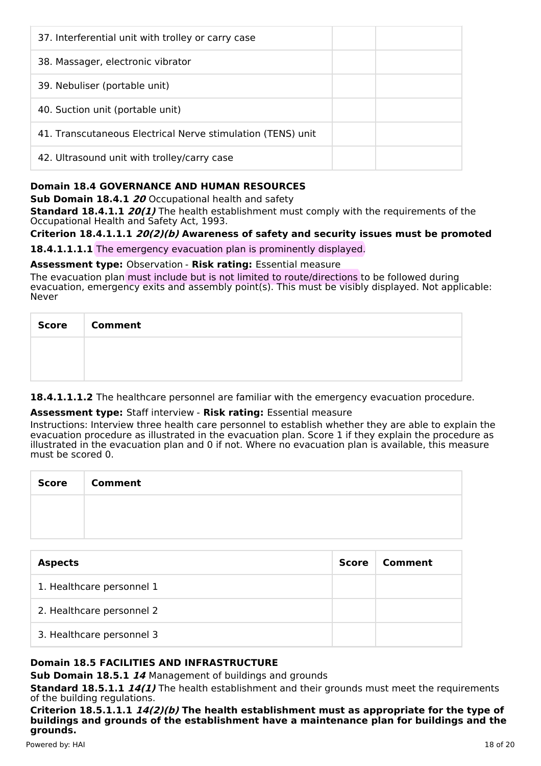| 37. Interferential unit with trolley or carry case          |  |
|-------------------------------------------------------------|--|
| 38. Massager, electronic vibrator                           |  |
| 39. Nebuliser (portable unit)                               |  |
| 40. Suction unit (portable unit)                            |  |
| 41. Transcutaneous Electrical Nerve stimulation (TENS) unit |  |
| 42. Ultrasound unit with trolley/carry case                 |  |

# **Domain 18.4 GOVERNANCE AND HUMAN RESOURCES**

**Sub Domain 18.4.1 20** Occupational health and safety

**Standard 18.4.1.1 20(1)** The health establishment must comply with the requirements of the Occupational Health and Safety Act, 1993.

# **Criterion 18.4.1.1.1 20(2)(b) Awareness of safety and security issues must be promoted**

**18.4.1.1.1.1** The emergency evacuation plan is prominently displayed.

## **Assessment type:** Observation - **Risk rating:** Essential measure

The evacuation plan must include but is not limited to route/directions to be followed during evacuation, emergency exits and assembly point(s). This must be visibly displayed. Not applicable: Never

| Score   Comment |
|-----------------|
|                 |
|                 |

18.4.1.1.1.2 The healthcare personnel are familiar with the emergency evacuation procedure.

# **Assessment type:** Staff interview - **Risk rating:** Essential measure

Instructions: Interview three health care personnel to establish whether they are able to explain the evacuation procedure as illustrated in the evacuation plan. Score 1 if they explain the procedure as illustrated in the evacuation plan and 0 if not. Where no evacuation plan is available, this measure must be scored 0.

| <b>Score</b> | <b>Comment</b> |
|--------------|----------------|
|              |                |
|              |                |

| <b>Aspects</b>            | Score | Comment |
|---------------------------|-------|---------|
| 1. Healthcare personnel 1 |       |         |
| 2. Healthcare personnel 2 |       |         |
| 3. Healthcare personnel 3 |       |         |

# **Domain 18.5 FACILITIES AND INFRASTRUCTURE**

**Sub Domain 18.5.1 14** Management of buildings and grounds

**Standard 18.5.1.1 14(1)** The health establishment and their grounds must meet the requirements of the building regulations.

**Criterion 18.5.1.1.1 14(2)(b) The health establishment must as appropriate for the type of buildings and grounds of the establishment have a maintenance plan for buildings and the grounds.**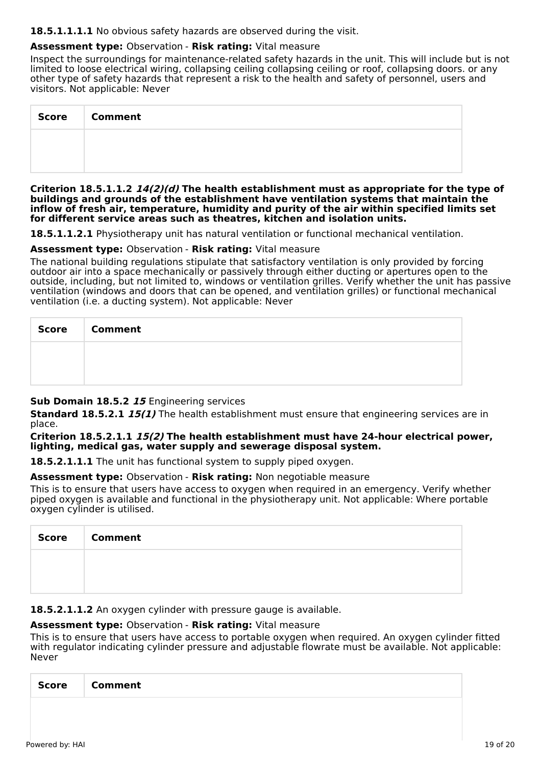#### 18.5.1.1.1.1 No obvious safety hazards are observed during the visit.

# **Assessment type:** Observation - **Risk rating:** Vital measure

Inspect the surroundings for maintenance-related safety hazards in the unit. This will include but is not limited to loose electrical wiring, collapsing ceiling collapsing ceiling or roof, collapsing doors. or any other type of safety hazards that represent a risk to the health and safety of personnel, users and visitors. Not applicable: Never

| <b>Score</b> | <b>Comment</b> |
|--------------|----------------|
|              |                |
|              |                |

**Criterion 18.5.1.1.2 14(2)(d) The health establishment must as appropriate for the type of buildings and grounds of the establishment have ventilation systems that maintain the inflow of fresh air, temperature, humidity and purity of the air within specified limits set for different service areas such as theatres, kitchen and isolation units.**

**18.5.1.1.2.1** Physiotherapy unit has natural ventilation or functional mechanical ventilation.

#### **Assessment type:** Observation - **Risk rating:** Vital measure

The national building regulations stipulate that satisfactory ventilation is only provided by forcing outdoor air into a space mechanically or passively through either ducting or apertures open to the outside, including, but not limited to, windows or ventilation grilles. Verify whether the unit has passive ventilation (windows and doors that can be opened, and ventilation grilles) or functional mechanical ventilation (i.e. a ducting system). Not applicable: Never

| Score   Comment |
|-----------------|
|                 |
|                 |

#### **Sub Domain 18.5.2 15** Engineering services

**Standard 18.5.2.1 15(1)** The health establishment must ensure that engineering services are in place.

#### **Criterion 18.5.2.1.1 15(2) The health establishment must have 24-hour electrical power, lighting, medical gas, water supply and sewerage disposal system.**

**18.5.2.1.1.1** The unit has functional system to supply piped oxygen.

#### **Assessment type:** Observation - **Risk rating:** Non negotiable measure

This is to ensure that users have access to oxygen when required in an emergency. Verify whether piped oxygen is available and functional in the physiotherapy unit. Not applicable: Where portable oxygen cylinder is utilised.

| <b>Score</b> | <b>Comment</b> |
|--------------|----------------|
|              |                |
|              |                |

**18.5.2.1.1.2** An oxygen cylinder with pressure gauge is available.

#### **Assessment type:** Observation - **Risk rating:** Vital measure

This is to ensure that users have access to portable oxygen when required. An oxygen cylinder fitted with regulator indicating cylinder pressure and adjustable flowrate must be available. Not applicable: Never

| <b>Score</b> | <b>Comment</b> |
|--------------|----------------|
|              |                |